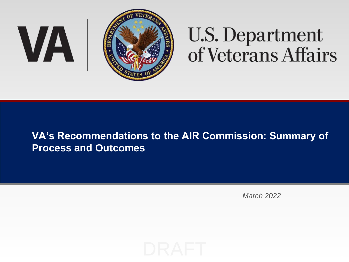

# **U.S. Department**<br>of Veterans Affairs

## **VA's Recommendations to the AIR Commission: Summary of Process and Outcomes**

*March 2022*

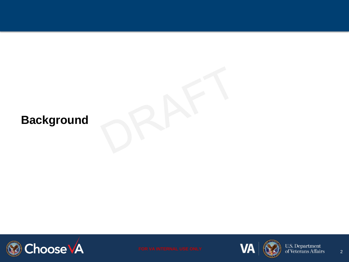# **Background**







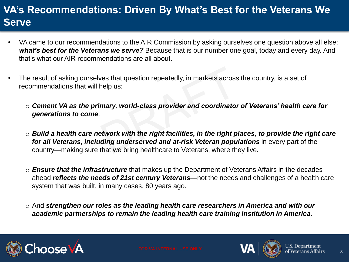# **VA's Recommendations: Driven By What's Best for the Veterans We Serve**

- VA came to our recommendations to the AIR Commission by asking ourselves one question above all else: *what's best for the Veterans we serve?* Because that is our number one goal, today and every day. And that's what our AIR recommendations are all about.
- The result of asking ourselves that question repeatedly, in markets across the country, is a set of recommendations that will help us:
	- o *Cement VA as the primary, world-class provider and coordinator of Veterans' health care for generations to come*.
	- o *Build a health care network with the right facilities, in the right places, to provide the right care*  for all Veterans, *including underserved and at-risk Veteran populations* in every part of the country—making sure that we bring healthcare to Veterans, where they live.
	- o *Ensure that the infrastructure* that makes up the Department of Veterans Affairs in the decades ahead *reflects the needs of 21st century Veterans*—not the needs and challenges of a health care system that was built, in many cases, 80 years ago.
	- o And *strengthen our roles as the leading health care researchers in America and with our academic partnerships to remain the leading health care training institution in America*.







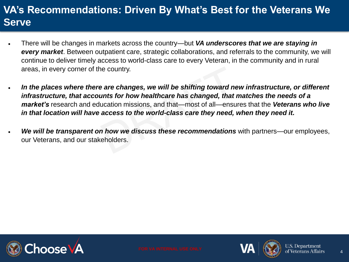# **VA's Recommendations: Driven By What's Best for the Veterans We Serve**

- There will be changes in markets across the country—but *VA underscores that we are staying in every market*. Between outpatient care, strategic collaborations, and referrals to the community, we will continue to deliver timely access to world-class care to every Veteran, in the community and in rural areas, in every corner of the country.
- *In the places where there are changes, we will be shifting toward new infrastructure, or different infrastructure, that accounts for how healthcare has changed, that matches the needs of a market's* research and education missions, and that—most of all—ensures that the *Veterans who live in that location will have access to the world-class care they need, when they need it.*
- *We will be transparent on how we discuss these recommendations* with partners—our employees, our Veterans, and our stakeholders.





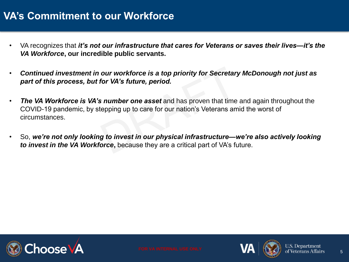## **VA's Commitment to our Workforce**

- VA recognizes that *it's not our infrastructure that cares for Veterans or saves their lives—it's the VA Workforce***, our incredible public servants.**
- *Continued investment in our workforce is a top priority for Secretary McDonough not just as part of this process, but for VA's future, period.*
- *The VA Workforce is VA's number one asset* and has proven that time and again throughout the COVID-19 pandemic, by stepping up to care for our nation's Veterans amid the worst of circumstances.
- So, *we're not only looking to invest in our physical infrastructure—we're also actively looking*  **to invest in the VA Workforce**, because they are a critical part of VA's future.





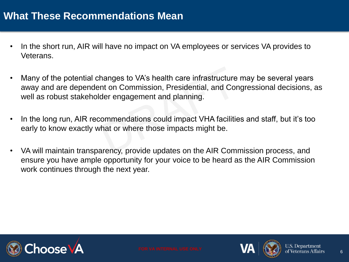## **What These Recommendations Mean**

- In the short run, AIR will have no impact on VA employees or services VA provides to Veterans.
- Many of the potential changes to VA's health care infrastructure may be several years away and are dependent on Commission, Presidential, and Congressional decisions, as well as robust stakeholder engagement and planning.
- In the long run, AIR recommendations could impact VHA facilities and staff, but it's too early to know exactly what or where those impacts might be.
- VA will maintain transparency, provide updates on the AIR Commission process, and ensure you have ample opportunity for your voice to be heard as the AIR Commission work continues through the next year.





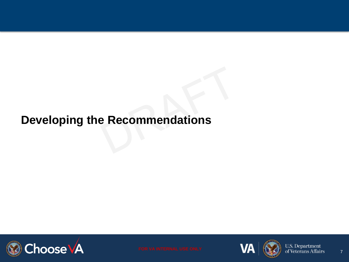# **Developing the Recommendations**







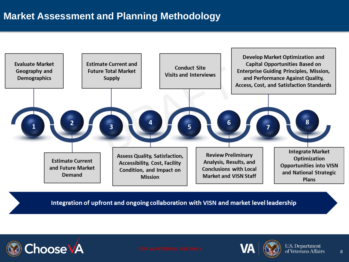## **Market Assessment and Planning Methodology**



Integration of upfront and ongoing collaboration with VISN and market level leadership







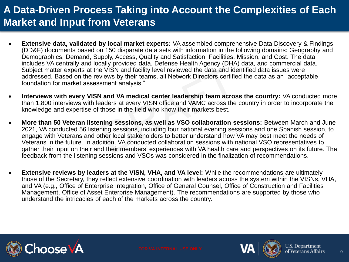## **A Data-Driven Process Taking into Account the Complexities of Each Market and Input from Veterans**

- **Extensive data, validated by local market experts:** VA assembled comprehensive Data Discovery & Findings (DD&F) documents based on 150 disparate data sets with information in the following domains: Geography and Demographics, Demand, Supply, Access, Quality and Satisfaction, Facilities, Mission, and Cost. The data includes VA centrally and locally provided data, Defense Health Agency (DHA) data, and commercial data. Subject matter experts at the VISN and facility level reviewed the data and identified data issues were addressed. Based on the reviews by their teams, all Network Directors certified the data as an "acceptable foundation for market assessment analysis."
- **Interviews with every VISN and VA medical center leadership team across the country:** VA conducted more than 1,800 interviews with leaders at every VISN office and VAMC across the country in order to incorporate the knowledge and expertise of those in the field who know their markets best.
- **More than 50 Veteran listening sessions, as well as VSO collaboration sessions:** Between March and June 2021, VA conducted 56 listening sessions, including four national evening sessions and one Spanish session, to engage with Veterans and other local stakeholders to better understand how VA may best meet the needs of Veterans in the future. In addition, VA conducted collaboration sessions with national VSO representatives to gather their input on their and their members' experiences with VA health care and perspectives on its future. The feedback from the listening sessions and VSOs was considered in the finalization of recommendations.
- **Extensive reviews by leaders at the VISN, VHA, and VA level:** While the recommendations are ultimately those of the Secretary, they reflect extensive coordination with leaders across the system within the VISNs, VHA, and VA (e.g., Office of Enterprise Integration, Office of General Counsel, Office of Construction and Facilities Management, Office of Asset Enterprise Management). The recommendations are supported by those who understand the intricacies of each of the markets across the country.







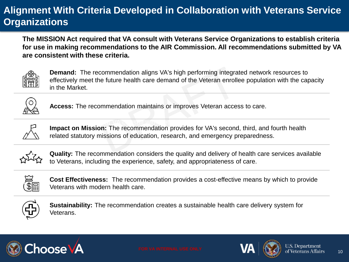## **Alignment With Criteria Developed in Collaboration with Veterans Service Organizations**

**The MISSION Act required that VA consult with Veterans Service Organizations to establish criteria for use in making recommendations to the AIR Commission. All recommendations submitted by VA are consistent with these criteria.**



**Demand:** The recommendation aligns VA's high performing integrated network resources to effectively meet the future health care demand of the Veteran enrollee population with the capacity in the Market.



**Access:** The recommendation maintains or improves Veteran access to care.



 $T$  and  $\mathcal{M}$  consult  $\mathcal{M}$  consult with  $\mathcal{M}$  consult with  $\mathcal{M}$  and  $\mathcal{M}$  are use in use in use in use in use in use in use in use in use in use in use in use in use in use in use in use in use in use in **Impact on Mission:** The recommendation provides for VA's second, third, and fourth health related statutory missions of education, research, and emergency preparedness.



**Quality:** The recommendation considers the quality and delivery of health care services available to Veterans, including the experience, safety, and appropriateness of care.



**Cost Effectiveness:** The recommendation provides a cost-effective means by which to provide Veterans with modern health care.



**Sustainability:** The recommendation creates a sustainable health care delivery system for Veterans.







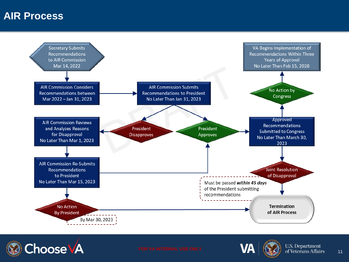## **AIR Process**





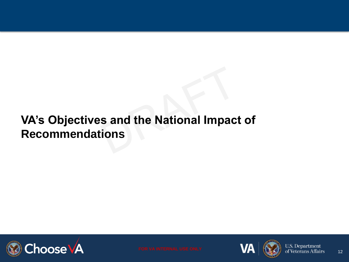# **VA's Objectives and the National Impact of Recommendations**







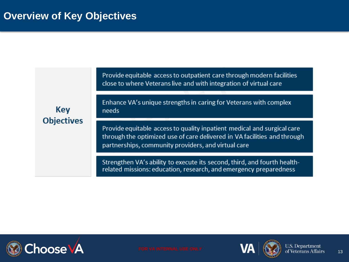Provide equitable access to outpatient care through modern facilities close to where Veterans live and with integration of virtual care

Key **Objectives**  Enhance VA's unique strengths in caring for Veterans with complex needs

Provide equitable access to quality inpatient medical and surgical care through the optimized use of care delivered in VA facilities and through partnerships, community providers, and virtual care

Strengthen VA's ability to execute its second, third, and fourth healthrelated missions: education, research, and emergency preparedness







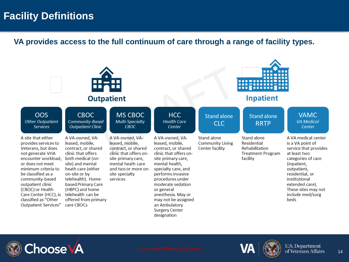## **Facility Definitions**

**VA provides access to the full continuum of care through a range of facility types.**

| <b>Outpatient</b>                                                                                                                                                                                                                                                                                                 |                                                                                                                                                                                                                                                                                           |                                                                                                                                                                                     |                                                                                                                                                                                                                                                                                                                               | <b>Inpatient</b>                                   |                                                                                      |                                                                                                                                                                                                                                                |  |
|-------------------------------------------------------------------------------------------------------------------------------------------------------------------------------------------------------------------------------------------------------------------------------------------------------------------|-------------------------------------------------------------------------------------------------------------------------------------------------------------------------------------------------------------------------------------------------------------------------------------------|-------------------------------------------------------------------------------------------------------------------------------------------------------------------------------------|-------------------------------------------------------------------------------------------------------------------------------------------------------------------------------------------------------------------------------------------------------------------------------------------------------------------------------|----------------------------------------------------|--------------------------------------------------------------------------------------|------------------------------------------------------------------------------------------------------------------------------------------------------------------------------------------------------------------------------------------------|--|
| <b>OOS</b><br><b>Other Outpatient</b><br><b>Services</b>                                                                                                                                                                                                                                                          | <b>CBOC</b><br>Community-Based<br><b>Outpatient Clinic</b>                                                                                                                                                                                                                                | MS CBOC<br>Multi-Specialty<br><b>CBOC</b>                                                                                                                                           | <b>HCC</b><br><b>Health Care</b><br>Center                                                                                                                                                                                                                                                                                    | <b>Stand alone</b><br><b>CLC</b>                   | <b>Stand alone</b><br><b>RRTP</b>                                                    | <b>VAMC</b><br><b>VA Medical</b><br>Center                                                                                                                                                                                                     |  |
| A site that either<br>provides services to<br>Veterans, but does<br>not generate VHA<br>encounter workload,<br>or does not meet<br>minimum criteria to<br>be classified as a<br>community-based<br>outpatient clinic<br>(CBOC) or Health<br>Care Center (HCC), is<br>classified as "Other<br>Outpatient Services" | A VA-owned, VA-<br>leased, mobile,<br>contract, or shared<br>clinic that offers<br>both medical (on-<br>site) and mental<br>heath care (either<br>on-site or by<br>telehealth). Home-<br>based Primary Care<br>(HBPC) and home<br>telehealth can be<br>offered from primary<br>care CBOCs | A VA-owned, VA-<br>leased, mobile,<br>contract, or shared<br>clinic that offers on-<br>site primary care,<br>mental heath care<br>and two or more on-<br>site specialty<br>services | A VA-owned, VA-<br>leased, mobile,<br>contract, or shared<br>clinic that offers on-<br>site primary care,<br>mental health,<br>specialty care, and<br>performs invasive<br>procedures under<br>moderate sedation<br>or general<br>anesthesia. May or<br>may not be assigned<br>an Ambulatory<br>Surgery Center<br>designation | Stand alone<br>Community Living<br>Center facility | Stand alone<br>Residential<br>Rehabilitation<br><b>Treatment Program</b><br>facility | A VA medical center<br>is a VA point of<br>service that provides<br>at least two<br>categories of care<br>(inpatient,<br>outpatient,<br>residential, or<br>institutional<br>extended care).<br>These sites may not<br>include med/surg<br>beds |  |







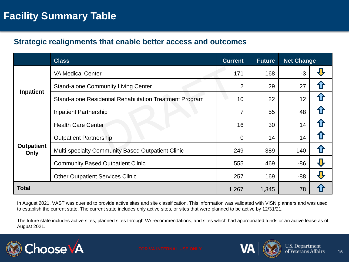## **Facility Summary Table**

### **Strategic realignments that enable better access and outcomes**

|                           | <b>Class</b>                                             | <b>Current</b> | <b>Future</b> | <b>Net Change</b> |  |
|---------------------------|----------------------------------------------------------|----------------|---------------|-------------------|--|
| Inpatient                 | <b>VA Medical Center</b>                                 | 171            | 168           | $-3$              |  |
|                           | <b>Stand-alone Community Living Center</b>               | 2              | 29            | 27                |  |
|                           | Stand-alone Residential Rehabilitation Treatment Program | 10             | 22            | 12                |  |
|                           | <b>Inpatient Partnership</b>                             |                | 55            | 48                |  |
| <b>Outpatient</b><br>Only | <b>Health Care Center</b>                                | 16             | 30            | 14                |  |
|                           | <b>Outpatient Partnership</b>                            | 0              | 14            | 14                |  |
|                           | Multi-specialty Community Based Outpatient Clinic        | 249            | 389           | 140               |  |
|                           | <b>Community Based Outpatient Clinic</b>                 | 555            | 469           | $-86$             |  |
|                           | <b>Other Outpatient Services Clinic</b>                  | 257            | 169           | $-88$             |  |
| <b>Total</b>              |                                                          | 1,267          | 1,345         | 78                |  |

In August 2021, VAST was queried to provide active sites and site classification. This information was validated with VISN planners and was used to establish the current state. The current state includes only active sites, or sites that were planned to be active by 12/31/21.

The future state includes active sites, planned sites through VA recommendations, and sites which had appropriated funds or an active lease as of August 2021.



FOR VA INTERNAL USE ONLY **A MA**  $\left(\bigotimes$  **C**  $\bigotimes$  U.S. Department 15

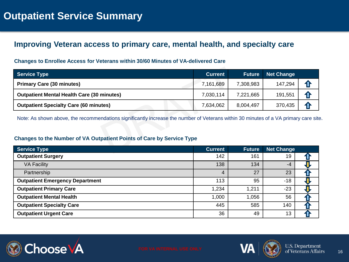## **Improving Veteran access to primary care, mental health, and specialty care**

#### **Changes to Enrollee Access for Veterans within 30/60 Minutes of VA-delivered Care**

| <b>Service Type</b>                               | <b>Current</b> | <b>Future</b> | <b>Net Change</b> |    |
|---------------------------------------------------|----------------|---------------|-------------------|----|
| <b>Primary Care (30 minutes)</b>                  | 7,161,689      | 7,308,983     | 147,294           |    |
| <b>Outpatient Mental Health Care (30 minutes)</b> | 7,030,114      | 7,221,665     | 191,551           |    |
| <b>Outpatient Specialty Care (60 minutes)</b>     | 7,634,062      | 8,004,497     | 370,435           | 43 |

Note: As shown above, the recommendations significantly increase the number of Veterans within 30 minutes of a VA primary care site.

#### **Changes to the Number of VA Outpatient Points of Care by Service Type**

| <b>Service Type</b>                    | <b>Current</b> | <b>Future</b> | <b>Net Change</b> |  |
|----------------------------------------|----------------|---------------|-------------------|--|
| <b>Outpatient Surgery</b>              | 142            | 161           | 19                |  |
| <b>VA Facility</b>                     | 138            | 134           | $-4$              |  |
| Partnership                            | 4              | 27            | 23                |  |
| <b>Outpatient Emergency Department</b> | 113            | 95            | $-18$             |  |
| <b>Outpatient Primary Care</b>         | 1,234          | 1,211         | $-23$             |  |
| <b>Outpatient Mental Health</b>        | 1,000          | 1,056         | 56                |  |
| <b>Outpatient Specialty Care</b>       | 445            | 585           | 140               |  |
| <b>Outpatient Urgent Care</b>          | 36             | 49            | 13                |  |





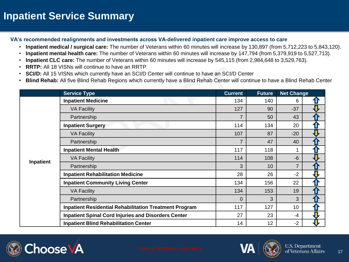## **Inpatient Service Summary**

**VA's recommended realignments and investments across VA-delivered inpatient care improve access to care**

- **Inpatient medical / surgical care:** The number of Veterans within 60 minutes will increase by 130,897 (from 5,712,223 to 5,843,120).
- **Inpatient mental health care:** The number of Veterans within 60 minutes will increase by 147,794 (from 5,379,919 to 5,527,713).
- **Inpatient CLC care:** The number of Veterans within 60 minutes will increase by 545,115 (from 2,984,648 to 3,529,763).
- **RRTP:** All 18 VISNs will continue to have an RRTP
- **SCI/D:** All 15 VISNs which currently have an SCI/D Center will continue to have an SCI/D Center
- **Blind Rehab:** All five Blind Rehab Regions which currently have a Blind Rehab Center will continue to have a Blind Rehab Center

|           | <b>Service Type</b>                                           | <b>Current</b> | <b>Future</b> | <b>Net Change</b> |   |
|-----------|---------------------------------------------------------------|----------------|---------------|-------------------|---|
|           | <b>Inpatient Medicine</b>                                     | 134            | 140           | 6                 |   |
|           | <b>VA Facility</b>                                            | 127            | 90            | $-37$             |   |
|           | Partnership                                                   | $\overline{7}$ | 50            | 43                |   |
|           | <b>Inpatient Surgery</b>                                      | 114            | 134           | 20                |   |
|           | <b>VA Facility</b>                                            | 107            | 87            | $-20$             |   |
| Inpatient | Partnership                                                   | $\overline{7}$ | 47            | 40                |   |
|           | <b>Inpatient Mental Health</b>                                | 117            | 118           | 1                 |   |
|           | <b>VA Facility</b>                                            | 114            | 108           | $-6$              |   |
|           | Partnership                                                   | 3              | 10            | $\overline{7}$    |   |
|           | <b>Inpatient Rehabilitation Medicine</b>                      | 28             | 26            | $-2$              |   |
|           | <b>Inpatient Community Living Center</b>                      | 134            | 156           | 22                | 1 |
|           | <b>VA Facility</b>                                            | 134            | 153           | 19                |   |
|           | Partnership                                                   | $\Omega$       | 3             | 3                 |   |
|           | <b>Inpatient Residential Rehabilitation Treatment Program</b> | 117            | 127           | 10 <sup>°</sup>   |   |
|           | <b>Inpatient Spinal Cord Injuries and Disorders Center</b>    | 27             | 23            | -4                |   |
|           | <b>Inpatient Blind Rehabilitation Center</b>                  | 14             | 12            | $-2$              |   |



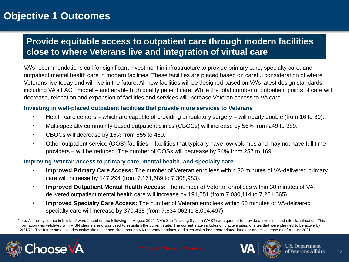## **Objective 1 Outcomes**

## **Provide equitable access to outpatient care through modern facilities close to where Veterans live and integration of virtual care**

VA's recommendations call for significant investment in infrastructure to provide primary care, specialty care, and outpatient mental health care in modern facilities. These facilities are placed based on careful consideration of where Veterans live today and will live in the future. All new facilities will be designed based on VA's latest design standards – including VA's PACT model – and enable high quality patient care. While the total number of outpatient points of care will decrease, relocation and expansion of facilities and services will increase Veteran access to VA care.

#### **Investing in well-placed outpatient facilities that provide more services to Veterans**

- Health care centers which are capable of providing ambulatory surgery will nearly double (from 16 to 30).
- Multi-specialty community-based outpatient clinics (CBOCs) will increase by 56% from 249 to 389.
- CBOCs will decrease by 15% from 555 to 469.
- Other outpatient service (OOS) facilities facilities that typically have low volumes and may not have full time providers – will be reduced. The number of OOSs will decrease by 34% from 257 to 169.

#### **Improving Veteran access to primary care, mental health, and specialty care**

- **Improved Primary Care Access:** The number of Veteran enrollees within 30 minutes of VA-delivered primary care will increase by 147,294 (from 7,161,689 to 7,308,983).
- **Improved Outpatient Mental Health Access:** The number of Veteran enrollees within 30 minutes of VAdelivered outpatient mental health care will increase by 191,551 (from 7,030,114 to 7,221,665).
- **Improved Specialty Care Access:** The number of Veteran enrollees within 60 minutes of VA-delivered specialty care will increase by 370,435 (from 7,634,062 to 8,004,497).

Note: All facility counts in this brief were based on the following: In August 2021, VA's Site Tracking System (VAST) was queried to provide active sites and site classification. This information was validated with VISN planners and was used to establish the current state. The current state includes only active sites, or sites that were planned to be active by 12/31/21. The future state includes active sites, planned sites through VA recommendations, and sites which had appropriated funds or an active lease as of August 2021.







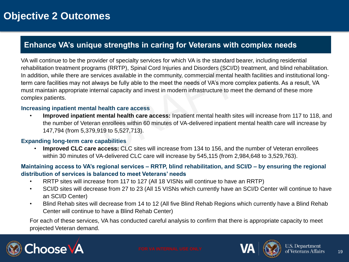## **Enhance VA's unique strengths in caring for Veterans with complex needs**

VA will continue to be the provider of specialty services for which VA is the standard bearer, including residential rehabilitation treatment programs (RRTP), Spinal Cord Injuries and Disorders (SCI/D) treatment, and blind rehabilitation. In addition, while there are services available in the community, commercial mental health facilities and institutional longterm care facilities may not always be fully able to the meet the needs of VA's more complex patients. As a result, VA must maintain appropriate internal capacity and invest in modern infrastructure to meet the demand of these more complex patients.

#### **Increasing inpatient mental health care access**

• **Improved inpatient mental health care access:** Inpatient mental health sites will increase from 117 to 118, and the number of Veteran enrollees within 60 minutes of VA-delivered inpatient mental health care will increase by 147,794 (from 5,379,919 to 5,527,713).

#### **Expanding long-term care capabilities**

• **Improved CLC care access:** CLC sites will increase from 134 to 156, and the number of Veteran enrollees within 30 minutes of VA-delivered CLC care will increase by 545,115 (from 2,984,648 to 3,529,763).

#### **Maintaining access to VA's regional services – RRTP, blind rehabilitation, and SCI/D – by ensuring the regional distribution of services is balanced to meet Veterans' needs**

- RRTP sites will increase from 117 to 127 (All 18 VISNs will continue to have an RRTP)
- SCI/D sites will decrease from 27 to 23 (All 15 VISNs which currently have an SCI/D Center will continue to have an SCI/D Center)
- Blind Rehab sites will decrease from 14 to 12 (All five Blind Rehab Regions which currently have a Blind Rehab Center will continue to have a Blind Rehab Center)

For each of these services, VA has conducted careful analysis to confirm that there is appropriate capacity to meet projected Veteran demand.





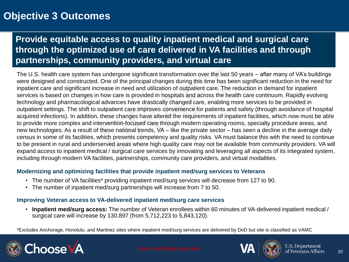## **Objective 3 Outcomes**

## **Provide equitable access to quality inpatient medical and surgical care through the optimized use of care delivered in VA facilities and through partnerships, community providers, and virtual care**

The U.S. health care system has undergone significant transformation over the last 50 years – after many of VA's buildings were designed and constructed. One of the principal changes during this time has been significant reduction in the need for inpatient care and significant increase in need and utilization of outpatient care. The reduction in demand for inpatient services is based on changes in how care is provided in hospitals and across the health care continuum. Rapidly evolving technology and pharmacological advances have drastically changed care, enabling more services to be provided in outpatient settings. The shift to outpatient care improves convenience for patients and safety (through avoidance of hospital acquired infections). In addition, these changes have altered the requirements of inpatient facilities, which now must be able to provide more complex and intervention-focused care through modern operating rooms, specialty procedure areas, and new technologies. As a result of these national trends, VA – like the private sector – has seen a decline in the average daily census in some of its facilities, which presents competency and quality risks. VA must balance this with the need to continue to be present in rural and underserved areas where high quality care may not be available from community providers. VA will expand access to inpatient medical / surgical care services by innovating and leveraging all aspects of its integrated system, including through modern VA facilities, partnerships, community care providers, and virtual modalities.

#### **Modernizing and optimizing facilities that provide inpatient med/surg services to Veterans**

- The number of VA facilities\* providing inpatient med/surg services will decrease from 127 to 90.
- The number of inpatient med/surg partnerships will increase from 7 to 50.

#### **Improving Veteran access to VA-delivered inpatient med/surg care services**

• **Inpatient med/surg access:** The number of Veteran enrollees within 60 minutes of VA-delivered inpatient medical / surgical care will increase by 130,897 (from 5,712,223 to 5,843,120).

\*Excludes Anchorage, Honolulu, and Martinez sites where inpatient med/surg services are delivered by DoD but site is classified as VAMC